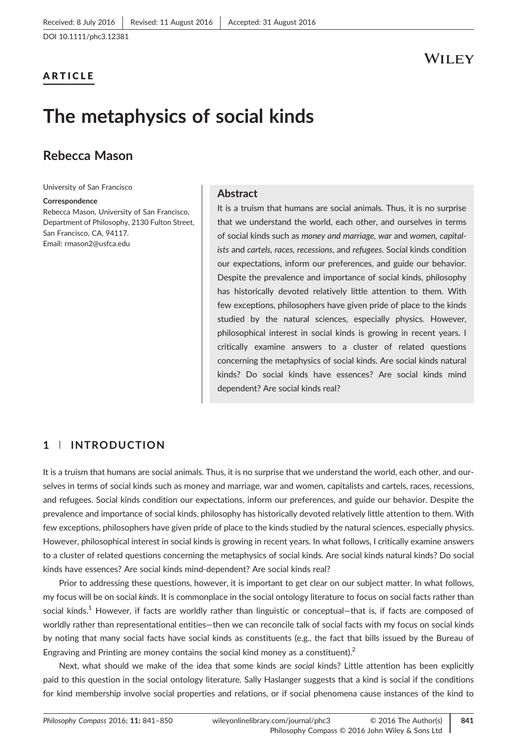ARTICLE

## WILEY

# The metaphysics of social kinds

## Rebecca Mason

University of San Francisco

#### Correspondence

Rebecca Mason, University of San Francisco, Department of Philosophy, 2130 Fulton Street, San Francisco, CA, 94117. Email: [rmason2@usfca.edu](mailto:rmason2@usfca.edu)

#### **Abstract**

It is a truism that humans are social animals. Thus, it is no surprise that we understand the world, each other, and ourselves in terms of social kinds such as money and marriage, war and women, capitalists and cartels, races, recessions, and refugees. Social kinds condition our expectations, inform our preferences, and guide our behavior. Despite the prevalence and importance of social kinds, philosophy has historically devoted relatively little attention to them. With few exceptions, philosophers have given pride of place to the kinds studied by the natural sciences, especially physics. However, philosophical interest in social kinds is growing in recent years. I critically examine answers to a cluster of related questions concerning the metaphysics of social kinds. Are social kinds natural kinds? Do social kinds have essences? Are social kinds mind dependent? Are social kinds real?

## 1 | INTRODUCTION

It is a truism that humans are social animals. Thus, it is no surprise that we understand the world, each other, and ourselves in terms of social kinds such as money and marriage, war and women, capitalists and cartels, races, recessions, and refugees. Social kinds condition our expectations, inform our preferences, and guide our behavior. Despite the prevalence and importance of social kinds, philosophy has historically devoted relatively little attention to them. With few exceptions, philosophers have given pride of place to the kinds studied by the natural sciences, especially physics. However, philosophical interest in social kinds is growing in recent years. In what follows, I critically examine answers to a cluster of related questions concerning the metaphysics of social kinds. Are social kinds natural kinds? Do social kinds have essences? Are social kinds mind‐dependent? Are social kinds real?

Prior to addressing these questions, however, it is important to get clear on our subject matter. In what follows, my focus will be on social kinds. It is commonplace in the social ontology literature to focus on social facts rather than social kinds.<sup>1</sup> However, if facts are worldly rather than linguistic or conceptual–that is, if facts are composed of worldly rather than representational entities—then we can reconcile talk of social facts with my focus on social kinds by noting that many social facts have social kinds as constituents (e.g., the fact that bills issued by the Bureau of Engraving and Printing are money contains the social kind money as a constituent).<sup>2</sup>

Next, what should we make of the idea that some kinds are social kinds? Little attention has been explicitly paid to this question in the social ontology literature. Sally Haslanger suggests that a kind is social if the conditions for kind membership involve social properties and relations, or if social phenomena cause instances of the kind to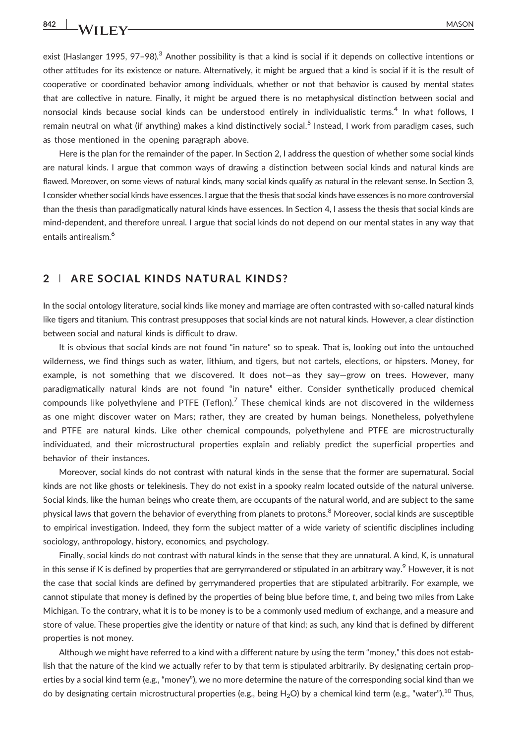exist (Haslanger 1995, 97-98).<sup>3</sup> Another possibility is that a kind is social if it depends on collective intentions or other attitudes for its existence or nature. Alternatively, it might be argued that a kind is social if it is the result of cooperative or coordinated behavior among individuals, whether or not that behavior is caused by mental states that are collective in nature. Finally, it might be argued there is no metaphysical distinction between social and nonsocial kinds because social kinds can be understood entirely in individualistic terms.<sup>4</sup> In what follows, I remain neutral on what (if anything) makes a kind distinctively social.<sup>5</sup> Instead, I work from paradigm cases, such as those mentioned in the opening paragraph above.

Here is the plan for the remainder of the paper. In Section 2, I address the question of whether some social kinds are natural kinds. I argue that common ways of drawing a distinction between social kinds and natural kinds are flawed. Moreover, on some views of natural kinds, many social kinds qualify as natural in the relevant sense. In Section 3, I consider whether social kinds have essences. I argue that the thesis that social kinds have essences is no more controversial than the thesis than paradigmatically natural kinds have essences. In Section 4, I assess the thesis that social kinds are mind‐dependent, and therefore unreal. I argue that social kinds do not depend on our mental states in any way that entails antirealism.<sup>6</sup>

### 2 | ARE SOCIAL KINDS NATURAL KINDS?

In the social ontology literature, social kinds like money and marriage are often contrasted with so‐called natural kinds like tigers and titanium. This contrast presupposes that social kinds are not natural kinds. However, a clear distinction between social and natural kinds is difficult to draw.

It is obvious that social kinds are not found "in nature" so to speak. That is, looking out into the untouched wilderness, we find things such as water, lithium, and tigers, but not cartels, elections, or hipsters. Money, for example, is not something that we discovered. It does not—as they say—grow on trees. However, many paradigmatically natural kinds are not found "in nature" either. Consider synthetically produced chemical compounds like polyethylene and PTFE (Teflon).<sup>7</sup> These chemical kinds are not discovered in the wilderness as one might discover water on Mars; rather, they are created by human beings. Nonetheless, polyethylene and PTFE are natural kinds. Like other chemical compounds, polyethylene and PTFE are microstructurally individuated, and their microstructural properties explain and reliably predict the superficial properties and behavior of their instances.

Moreover, social kinds do not contrast with natural kinds in the sense that the former are supernatural. Social kinds are not like ghosts or telekinesis. They do not exist in a spooky realm located outside of the natural universe. Social kinds, like the human beings who create them, are occupants of the natural world, and are subject to the same physical laws that govern the behavior of everything from planets to protons.<sup>8</sup> Moreover, social kinds are susceptible to empirical investigation. Indeed, they form the subject matter of a wide variety of scientific disciplines including sociology, anthropology, history, economics, and psychology.

Finally, social kinds do not contrast with natural kinds in the sense that they are unnatural. A kind, K, is unnatural in this sense if K is defined by properties that are gerrymandered or stipulated in an arbitrary way.<sup>9</sup> However, it is not the case that social kinds are defined by gerrymandered properties that are stipulated arbitrarily. For example, we cannot stipulate that money is defined by the properties of being blue before time, t, and being two miles from Lake Michigan. To the contrary, what it is to be money is to be a commonly used medium of exchange, and a measure and store of value. These properties give the identity or nature of that kind; as such, any kind that is defined by different properties is not money.

Although we might have referred to a kind with a different nature by using the term "money," this does not establish that the nature of the kind we actually refer to by that term is stipulated arbitrarily. By designating certain properties by a social kind term (e.g., "money"), we no more determine the nature of the corresponding social kind than we do by designating certain microstructural properties (e.g., being H<sub>2</sub>O) by a chemical kind term (e.g., "water").<sup>10</sup> Thus,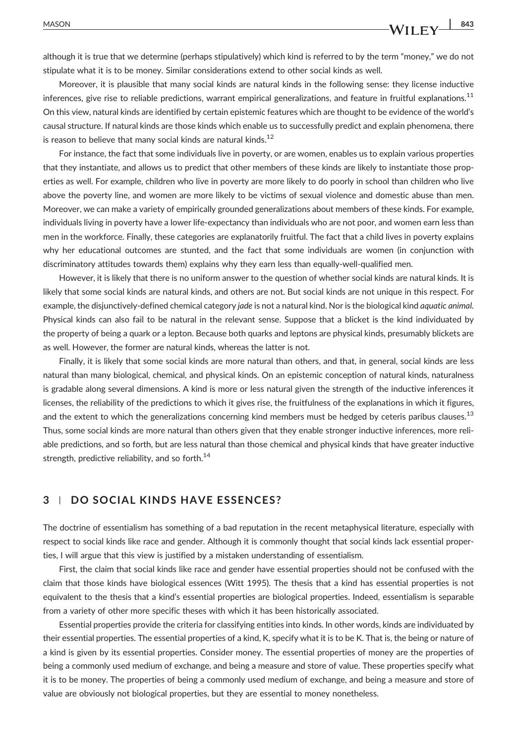although it is true that we determine (perhaps stipulatively) which kind is referred to by the term "money," we do not stipulate what it is to be money. Similar considerations extend to other social kinds as well.

Moreover, it is plausible that many social kinds are natural kinds in the following sense: they license inductive inferences, give rise to reliable predictions, warrant empirical generalizations, and feature in fruitful explanations.<sup>11</sup> On this view, natural kinds are identified by certain epistemic features which are thought to be evidence of the world's causal structure. If natural kinds are those kinds which enable us to successfully predict and explain phenomena, there is reason to believe that many social kinds are natural kinds. $^{12}$ 

For instance, the fact that some individuals live in poverty, or are women, enables us to explain various properties that they instantiate, and allows us to predict that other members of these kinds are likely to instantiate those properties as well. For example, children who live in poverty are more likely to do poorly in school than children who live above the poverty line, and women are more likely to be victims of sexual violence and domestic abuse than men. Moreover, we can make a variety of empirically grounded generalizations about members of these kinds. For example, individuals living in poverty have a lower life‐expectancy than individuals who are not poor, and women earn less than men in the workforce. Finally, these categories are explanatorily fruitful. The fact that a child lives in poverty explains why her educational outcomes are stunted, and the fact that some individuals are women (in conjunction with discriminatory attitudes towards them) explains why they earn less than equally‐well‐qualified men.

However, it is likely that there is no uniform answer to the question of whether social kinds are natural kinds. It is likely that some social kinds are natural kinds, and others are not. But social kinds are not unique in this respect. For example, the disjunctively-defined chemical category jade is not a natural kind. Nor is the biological kind aquatic animal. Physical kinds can also fail to be natural in the relevant sense. Suppose that a blicket is the kind individuated by the property of being a quark or a lepton. Because both quarks and leptons are physical kinds, presumably blickets are as well. However, the former are natural kinds, whereas the latter is not.

Finally, it is likely that some social kinds are more natural than others, and that, in general, social kinds are less natural than many biological, chemical, and physical kinds. On an epistemic conception of natural kinds, naturalness is gradable along several dimensions. A kind is more or less natural given the strength of the inductive inferences it licenses, the reliability of the predictions to which it gives rise, the fruitfulness of the explanations in which it figures, and the extent to which the generalizations concerning kind members must be hedged by ceteris paribus clauses.<sup>13</sup> Thus, some social kinds are more natural than others given that they enable stronger inductive inferences, more reliable predictions, and so forth, but are less natural than those chemical and physical kinds that have greater inductive strength, predictive reliability, and so forth. $^{14}$ 

#### 3 | DO SOCIAL KINDS HAVE ESSENCES?

The doctrine of essentialism has something of a bad reputation in the recent metaphysical literature, especially with respect to social kinds like race and gender. Although it is commonly thought that social kinds lack essential properties, I will argue that this view is justified by a mistaken understanding of essentialism.

First, the claim that social kinds like race and gender have essential properties should not be confused with the claim that those kinds have biological essences (Witt 1995). The thesis that a kind has essential properties is not equivalent to the thesis that a kind's essential properties are biological properties. Indeed, essentialism is separable from a variety of other more specific theses with which it has been historically associated.

Essential properties provide the criteria for classifying entities into kinds. In other words, kinds are individuated by their essential properties. The essential properties of a kind, K, specify what it is to be K. That is, the being or nature of a kind is given by its essential properties. Consider money. The essential properties of money are the properties of being a commonly used medium of exchange, and being a measure and store of value. These properties specify what it is to be money. The properties of being a commonly used medium of exchange, and being a measure and store of value are obviously not biological properties, but they are essential to money nonetheless.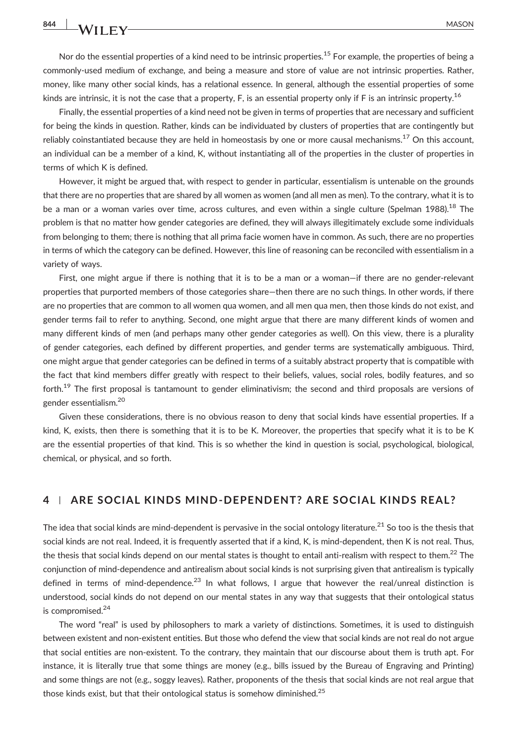Nor do the essential properties of a kind need to be intrinsic properties.<sup>15</sup> For example, the properties of being a commonly‐used medium of exchange, and being a measure and store of value are not intrinsic properties. Rather, money, like many other social kinds, has a relational essence. In general, although the essential properties of some kinds are intrinsic, it is not the case that a property,  $F$ , is an essential property only if  $F$  is an intrinsic property.<sup>16</sup>

Finally, the essential properties of a kind need not be given in terms of properties that are necessary and sufficient for being the kinds in question. Rather, kinds can be individuated by clusters of properties that are contingently but reliably coinstantiated because they are held in homeostasis by one or more causal mechanisms.<sup>17</sup> On this account, an individual can be a member of a kind, K, without instantiating all of the properties in the cluster of properties in terms of which K is defined.

However, it might be argued that, with respect to gender in particular, essentialism is untenable on the grounds that there are no properties that are shared by all women as women (and all men as men). To the contrary, what it is to be a man or a woman varies over time, across cultures, and even within a single culture (Spelman 1988).<sup>18</sup> The problem is that no matter how gender categories are defined, they will always illegitimately exclude some individuals from belonging to them; there is nothing that all prima facie women have in common. As such, there are no properties in terms of which the category can be defined. However, this line of reasoning can be reconciled with essentialism in a variety of ways.

First, one might argue if there is nothing that it is to be a man or a woman—if there are no gender‐relevant properties that purported members of those categories share—then there are no such things. In other words, if there are no properties that are common to all women qua women, and all men qua men, then those kinds do not exist, and gender terms fail to refer to anything. Second, one might argue that there are many different kinds of women and many different kinds of men (and perhaps many other gender categories as well). On this view, there is a plurality of gender categories, each defined by different properties, and gender terms are systematically ambiguous. Third, one might argue that gender categories can be defined in terms of a suitably abstract property that is compatible with the fact that kind members differ greatly with respect to their beliefs, values, social roles, bodily features, and so forth.<sup>19</sup> The first proposal is tantamount to gender eliminativism; the second and third proposals are versions of gender essentialism.20

Given these considerations, there is no obvious reason to deny that social kinds have essential properties. If a kind, K, exists, then there is something that it is to be K. Moreover, the properties that specify what it is to be K are the essential properties of that kind. This is so whether the kind in question is social, psychological, biological, chemical, or physical, and so forth.

#### 4 <sup>|</sup> ARE SOCIAL KINDS MIND‐DEPENDENT? ARE SOCIAL KINDS REAL?

The idea that social kinds are mind-dependent is pervasive in the social ontology literature.<sup>21</sup> So too is the thesis that social kinds are not real. Indeed, it is frequently asserted that if a kind, K, is mind-dependent, then K is not real. Thus, the thesis that social kinds depend on our mental states is thought to entail anti-realism with respect to them.<sup>22</sup> The conjunction of mind‐dependence and antirealism about social kinds is not surprising given that antirealism is typically defined in terms of mind-dependence.<sup>23</sup> In what follows, I argue that however the real/unreal distinction is understood, social kinds do not depend on our mental states in any way that suggests that their ontological status is compromised.<sup>24</sup>

The word "real" is used by philosophers to mark a variety of distinctions. Sometimes, it is used to distinguish between existent and non-existent entities. But those who defend the view that social kinds are not real do not argue that social entities are non‐existent. To the contrary, they maintain that our discourse about them is truth apt. For instance, it is literally true that some things are money (e.g., bills issued by the Bureau of Engraving and Printing) and some things are not (e.g., soggy leaves). Rather, proponents of the thesis that social kinds are not real argue that those kinds exist, but that their ontological status is somehow diminished.<sup>25</sup>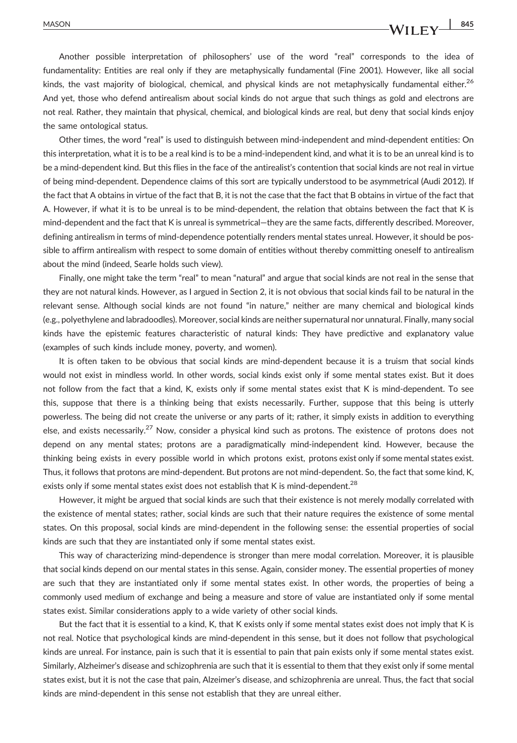## MASON  $\frac{845}{4}$

Another possible interpretation of philosophers' use of the word "real" corresponds to the idea of fundamentality: Entities are real only if they are metaphysically fundamental (Fine 2001). However, like all social kinds, the vast majority of biological, chemical, and physical kinds are not metaphysically fundamental either.<sup>26</sup> And yet, those who defend antirealism about social kinds do not argue that such things as gold and electrons are not real. Rather, they maintain that physical, chemical, and biological kinds are real, but deny that social kinds enjoy the same ontological status.

Other times, the word "real" is used to distinguish between mind‐independent and mind‐dependent entities: On this interpretation, what it is to be a real kind is to be a mind‐independent kind, and what it is to be an unreal kind is to be a mind‐dependent kind. But this flies in the face of the antirealist's contention that social kinds are not real in virtue of being mind‐dependent. Dependence claims of this sort are typically understood to be asymmetrical (Audi 2012). If the fact that A obtains in virtue of the fact that B, it is not the case that the fact that B obtains in virtue of the fact that A. However, if what it is to be unreal is to be mind‐dependent, the relation that obtains between the fact that K is mind‐dependent and the fact that K is unreal is symmetrical—they are the same facts, differently described. Moreover, defining antirealism in terms of mind-dependence potentially renders mental states unreal. However, it should be possible to affirm antirealism with respect to some domain of entities without thereby committing oneself to antirealism about the mind (indeed, Searle holds such view).

Finally, one might take the term "real" to mean "natural" and argue that social kinds are not real in the sense that they are not natural kinds. However, as I argued in Section 2, it is not obvious that social kinds fail to be natural in the relevant sense. Although social kinds are not found "in nature," neither are many chemical and biological kinds (e.g., polyethylene and labradoodles). Moreover, social kinds are neither supernatural nor unnatural. Finally, many social kinds have the epistemic features characteristic of natural kinds: They have predictive and explanatory value (examples of such kinds include money, poverty, and women).

It is often taken to be obvious that social kinds are mind-dependent because it is a truism that social kinds would not exist in mindless world. In other words, social kinds exist only if some mental states exist. But it does not follow from the fact that a kind, K, exists only if some mental states exist that K is mind‐dependent. To see this, suppose that there is a thinking being that exists necessarily. Further, suppose that this being is utterly powerless. The being did not create the universe or any parts of it; rather, it simply exists in addition to everything else, and exists necessarily.<sup>27</sup> Now, consider a physical kind such as protons. The existence of protons does not depend on any mental states; protons are a paradigmatically mind‐independent kind. However, because the thinking being exists in every possible world in which protons exist, protons exist only if some mental states exist. Thus, it follows that protons are mind‐dependent. But protons are not mind‐dependent. So, the fact that some kind, K, exists only if some mental states exist does not establish that K is mind-dependent.<sup>28</sup>

However, it might be argued that social kinds are such that their existence is not merely modally correlated with the existence of mental states; rather, social kinds are such that their nature requires the existence of some mental states. On this proposal, social kinds are mind‐dependent in the following sense: the essential properties of social kinds are such that they are instantiated only if some mental states exist.

This way of characterizing mind‐dependence is stronger than mere modal correlation. Moreover, it is plausible that social kinds depend on our mental states in this sense. Again, consider money. The essential properties of money are such that they are instantiated only if some mental states exist. In other words, the properties of being a commonly used medium of exchange and being a measure and store of value are instantiated only if some mental states exist. Similar considerations apply to a wide variety of other social kinds.

But the fact that it is essential to a kind, K, that K exists only if some mental states exist does not imply that K is not real. Notice that psychological kinds are mind‐dependent in this sense, but it does not follow that psychological kinds are unreal. For instance, pain is such that it is essential to pain that pain exists only if some mental states exist. Similarly, Alzheimer's disease and schizophrenia are such that it is essential to them that they exist only if some mental states exist, but it is not the case that pain, Alzeimer's disease, and schizophrenia are unreal. Thus, the fact that social kinds are mind-dependent in this sense not establish that they are unreal either.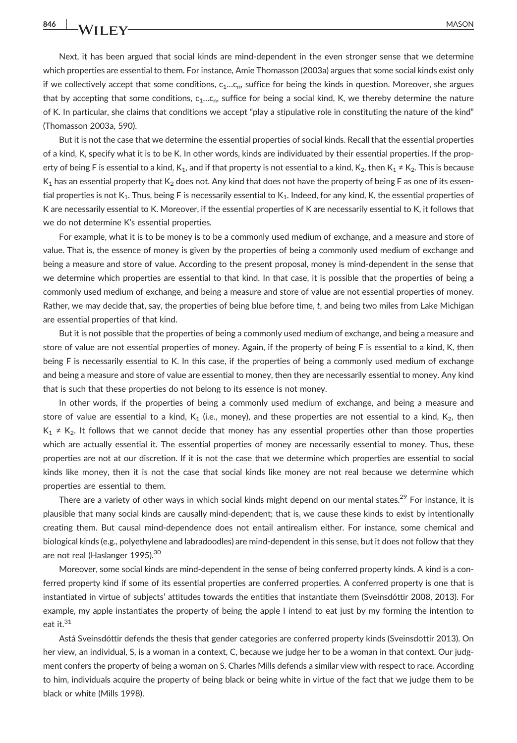Next, it has been argued that social kinds are mind-dependent in the even stronger sense that we determine which properties are essential to them. For instance, Amie Thomasson (2003a) argues that some social kinds exist only if we collectively accept that some conditions,  $c_1...c_n$ , suffice for being the kinds in question. Moreover, she argues that by accepting that some conditions,  $c_1...c_n$ , suffice for being a social kind, K, we thereby determine the nature of K. In particular, she claims that conditions we accept "play a stipulative role in constituting the nature of the kind" (Thomasson 2003a, 590).

But it is not the case that we determine the essential properties of social kinds. Recall that the essential properties of a kind, K, specify what it is to be K. In other words, kinds are individuated by their essential properties. If the property of being F is essential to a kind, K<sub>1</sub>, and if that property is not essential to a kind, K<sub>2</sub>, then K<sub>1</sub> ≠ K<sub>2</sub>. This is because  $K_1$  has an essential property that  $K_2$  does not. Any kind that does not have the property of being F as one of its essential properties is not  $K_1$ . Thus, being F is necessarily essential to  $K_1$ . Indeed, for any kind, K, the essential properties of K are necessarily essential to K. Moreover, if the essential properties of K are necessarily essential to K, it follows that we do not determine K's essential properties.

For example, what it is to be money is to be a commonly used medium of exchange, and a measure and store of value. That is, the essence of money is given by the properties of being a commonly used medium of exchange and being a measure and store of value. According to the present proposal, money is mind‐dependent in the sense that we determine which properties are essential to that kind. In that case, it is possible that the properties of being a commonly used medium of exchange, and being a measure and store of value are not essential properties of money. Rather, we may decide that, say, the properties of being blue before time, t, and being two miles from Lake Michigan are essential properties of that kind.

But it is not possible that the properties of being a commonly used medium of exchange, and being a measure and store of value are not essential properties of money. Again, if the property of being F is essential to a kind, K, then being F is necessarily essential to K. In this case, if the properties of being a commonly used medium of exchange and being a measure and store of value are essential to money, then they are necessarily essential to money. Any kind that is such that these properties do not belong to its essence is not money.

In other words, if the properties of being a commonly used medium of exchange, and being a measure and store of value are essential to a kind,  $K_1$  (i.e., money), and these properties are not essential to a kind,  $K_2$ , then  $K_1 \neq K_2$ . It follows that we cannot decide that money has any essential properties other than those properties which are actually essential it. The essential properties of money are necessarily essential to money. Thus, these properties are not at our discretion. If it is not the case that we determine which properties are essential to social kinds like money, then it is not the case that social kinds like money are not real because we determine which properties are essential to them.

There are a variety of other ways in which social kinds might depend on our mental states.<sup>29</sup> For instance, it is plausible that many social kinds are causally mind‐dependent; that is, we cause these kinds to exist by intentionally creating them. But causal mind‐dependence does not entail antirealism either. For instance, some chemical and biological kinds (e.g., polyethylene and labradoodles) are mind‐dependent in this sense, but it does not follow that they are not real (Haslanger 1995).<sup>30</sup>

Moreover, some social kinds are mind‐dependent in the sense of being conferred property kinds. A kind is a conferred property kind if some of its essential properties are conferred properties. A conferred property is one that is instantiated in virtue of subjects' attitudes towards the entities that instantiate them (Sveinsdóttir 2008, 2013). For example, my apple instantiates the property of being the apple I intend to eat just by my forming the intention to eat it.<sup>31</sup>

Astá Sveinsdóttir defends the thesis that gender categories are conferred property kinds (Sveinsdottir 2013). On her view, an individual, S, is a woman in a context, C, because we judge her to be a woman in that context. Our judgment confers the property of being a woman on S. Charles Mills defends a similar view with respect to race. According to him, individuals acquire the property of being black or being white in virtue of the fact that we judge them to be black or white (Mills 1998).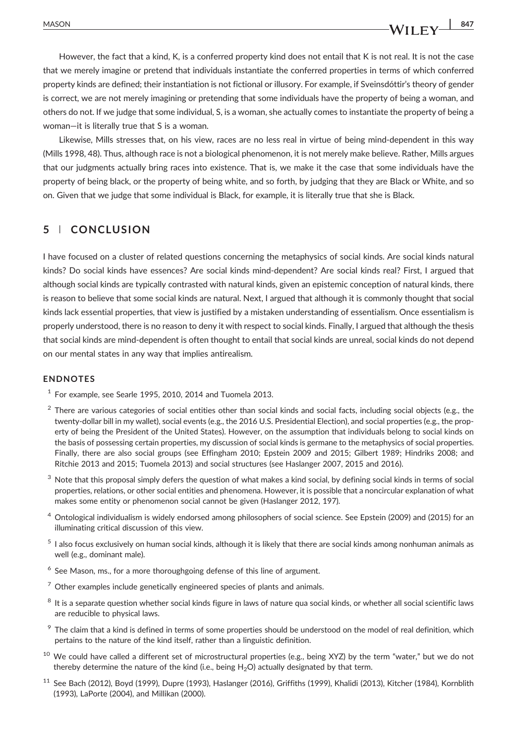## However, the fact that a kind, K, is a conferred property kind does not entail that K is not real. It is not the case that we merely imagine or pretend that individuals instantiate the conferred properties in terms of which conferred property kinds are defined; their instantiation is not fictional or illusory. For example, if Sveinsdóttir's theory of gender is correct, we are not merely imagining or pretending that some individuals have the property of being a woman, and others do not. If we judge that some individual, S, is a woman, she actually comes to instantiate the property of being a woman—it is literally true that S is a woman.

Likewise, Mills stresses that, on his view, races are no less real in virtue of being mind‐dependent in this way (Mills 1998, 48). Thus, although race is not a biological phenomenon, it is not merely make believe. Rather, Mills argues that our judgments actually bring races into existence. That is, we make it the case that some individuals have the property of being black, or the property of being white, and so forth, by judging that they are Black or White, and so on. Given that we judge that some individual is Black, for example, it is literally true that she is Black.

## 5 | CONCLUSION

I have focused on a cluster of related questions concerning the metaphysics of social kinds. Are social kinds natural kinds? Do social kinds have essences? Are social kinds mind‐dependent? Are social kinds real? First, I argued that although social kinds are typically contrasted with natural kinds, given an epistemic conception of natural kinds, there is reason to believe that some social kinds are natural. Next, I argued that although it is commonly thought that social kinds lack essential properties, that view is justified by a mistaken understanding of essentialism. Once essentialism is properly understood, there is no reason to deny it with respect to social kinds. Finally, I argued that although the thesis that social kinds are mind‐dependent is often thought to entail that social kinds are unreal, social kinds do not depend on our mental states in any way that implies antirealism.

#### ENDNOTES

- $1$  For example, see Searle 1995, 2010, 2014 and Tuomela 2013.
- <sup>2</sup> There are various categories of social entities other than social kinds and social facts, including social objects (e.g., the twenty-dollar bill in my wallet), social events (e.g., the 2016 U.S. Presidential Election), and social properties (e.g., the property of being the President of the United States). However, on the assumption that individuals belong to social kinds on the basis of possessing certain properties, my discussion of social kinds is germane to the metaphysics of social properties. Finally, there are also social groups (see Effingham 2010; Epstein 2009 and 2015; Gilbert 1989; Hindriks 2008; and Ritchie 2013 and 2015; Tuomela 2013) and social structures (see Haslanger 2007, 2015 and 2016).
- $3$  Note that this proposal simply defers the question of what makes a kind social, by defining social kinds in terms of social properties, relations, or other social entities and phenomena. However, it is possible that a noncircular explanation of what makes some entity or phenomenon social cannot be given (Haslanger 2012, 197).
- <sup>4</sup> Ontological individualism is widely endorsed among philosophers of social science. See Epstein (2009) and (2015) for an illuminating critical discussion of this view.
- <sup>5</sup> I also focus exclusively on human social kinds, although it is likely that there are social kinds among nonhuman animals as well (e.g., dominant male).
- $6$  See Mason, ms., for a more thoroughgoing defense of this line of argument.
- $7$  Other examples include genetically engineered species of plants and animals.
- $8$  It is a separate question whether social kinds figure in laws of nature qua social kinds, or whether all social scientific laws are reducible to physical laws.
- <sup>9</sup> The claim that a kind is defined in terms of some properties should be understood on the model of real definition, which pertains to the nature of the kind itself, rather than a linguistic definition.
- <sup>10</sup> We could have called a different set of microstructural properties (e.g., being XYZ) by the term "water." but we do not thereby determine the nature of the kind (i.e., being  $H_2O$ ) actually designated by that term.
- <sup>11</sup> See Bach (2012), Boyd (1999), Dupre (1993), Haslanger (2016), Griffiths (1999), Khalidi (2013), Kitcher (1984), Kornblith (1993), LaPorte (2004), and Millikan (2000).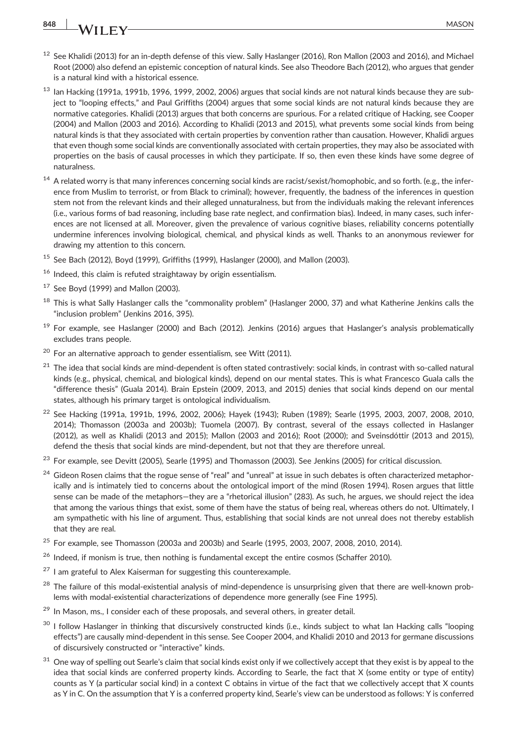# 848 **MASON** MASON

- $12$  See Khalidi (2013) for an in-depth defense of this view. Sally Haslanger (2016), Ron Mallon (2003 and 2016), and Michael Root (2000) also defend an epistemic conception of natural kinds. See also Theodore Bach (2012), who argues that gender is a natural kind with a historical essence.
- $13$  Ian Hacking (1991a, 1991b, 1996, 1999, 2002, 2006) argues that social kinds are not natural kinds because they are subject to "looping effects," and Paul Griffiths (2004) argues that some social kinds are not natural kinds because they are normative categories. Khalidi (2013) argues that both concerns are spurious. For a related critique of Hacking, see Cooper (2004) and Mallon (2003 and 2016). According to Khalidi (2013 and 2015), what prevents some social kinds from being natural kinds is that they associated with certain properties by convention rather than causation. However, Khalidi argues that even though some social kinds are conventionally associated with certain properties, they may also be associated with properties on the basis of causal processes in which they participate. If so, then even these kinds have some degree of naturalness.
- <sup>14</sup> A related worry is that many inferences concerning social kinds are racist/sexist/homophobic, and so forth. (e.g., the inference from Muslim to terrorist, or from Black to criminal); however, frequently, the badness of the inferences in question stem not from the relevant kinds and their alleged unnaturalness, but from the individuals making the relevant inferences (i.e., various forms of bad reasoning, including base rate neglect, and confirmation bias). Indeed, in many cases, such inferences are not licensed at all. Moreover, given the prevalence of various cognitive biases, reliability concerns potentially undermine inferences involving biological, chemical, and physical kinds as well. Thanks to an anonymous reviewer for drawing my attention to this concern.
- $15$  See Bach (2012), Boyd (1999), Griffiths (1999), Haslanger (2000), and Mallon (2003).
- <sup>16</sup> Indeed, this claim is refuted straightaway by origin essentialism.
- $17$  See Boyd (1999) and Mallon (2003).
- <sup>18</sup> This is what Sally Haslanger calls the "commonality problem" (Haslanger 2000, 37) and what Katherine Jenkins calls the "inclusion problem" (Jenkins 2016, 395).
- $19$  For example, see Haslanger (2000) and Bach (2012). Jenkins (2016) argues that Haslanger's analysis problematically excludes trans people.
- $20$  For an alternative approach to gender essentialism, see Witt (2011).
- $21$  The idea that social kinds are mind-dependent is often stated contrastively: social kinds, in contrast with so-called natural kinds (e.g., physical, chemical, and biological kinds), depend on our mental states. This is what Francesco Guala calls the "difference thesis" (Guala 2014). Brain Epstein (2009, 2013, and 2015) denies that social kinds depend on our mental states, although his primary target is ontological individualism.
- <sup>22</sup> See Hacking (1991a, 1991b, 1996, 2002, 2006); Hayek (1943); Ruben (1989); Searle (1995, 2003, 2007, 2008, 2010, 2014); Thomasson (2003a and 2003b); Tuomela (2007). By contrast, several of the essays collected in Haslanger (2012), as well as Khalidi (2013 and 2015); Mallon (2003 and 2016); Root (2000); and Sveinsdóttir (2013 and 2015), defend the thesis that social kinds are mind‐dependent, but not that they are therefore unreal.
- $^{23}$  For example, see Devitt (2005), Searle (1995) and Thomasson (2003). See Jenkins (2005) for critical discussion.
- $24$  Gideon Rosen claims that the rogue sense of "real" and "unreal" at issue in such debates is often characterized metaphorically and is intimately tied to concerns about the ontological import of the mind (Rosen 1994). Rosen argues that little sense can be made of the metaphors—they are a "rhetorical illusion" (283). As such, he argues, we should reject the idea that among the various things that exist, some of them have the status of being real, whereas others do not. Ultimately, I am sympathetic with his line of argument. Thus, establishing that social kinds are not unreal does not thereby establish that they are real.
- $25$  For example, see Thomasson (2003a and 2003b) and Searle (1995, 2003, 2007, 2008, 2010, 2014).
- <sup>26</sup> Indeed, if monism is true, then nothing is fundamental except the entire cosmos (Schaffer 2010).
- $27$  I am grateful to Alex Kaiserman for suggesting this counterexample.
- <sup>28</sup> The failure of this modal-existential analysis of mind-dependence is unsurprising given that there are well-known problems with modal‐existential characterizations of dependence more generally (see Fine 1995).
- <sup>29</sup> In Mason, ms., I consider each of these proposals, and several others, in greater detail.
- $30$  I follow Haslanger in thinking that discursively constructed kinds (i.e., kinds subject to what Ian Hacking calls "looping effects") are causally mind‐dependent in this sense. See Cooper 2004, and Khalidi 2010 and 2013 for germane discussions of discursively constructed or "interactive" kinds.
- <sup>31</sup> One wav of spelling out Searle's claim that social kinds exist only if we collectively accept that they exist is by appeal to the idea that social kinds are conferred property kinds. According to Searle, the fact that X (some entity or type of entity) counts as Y (a particular social kind) in a context C obtains in virtue of the fact that we collectively accept that X counts as Y in C. On the assumption that Y is a conferred property kind, Searle's view can be understood as follows: Y is conferred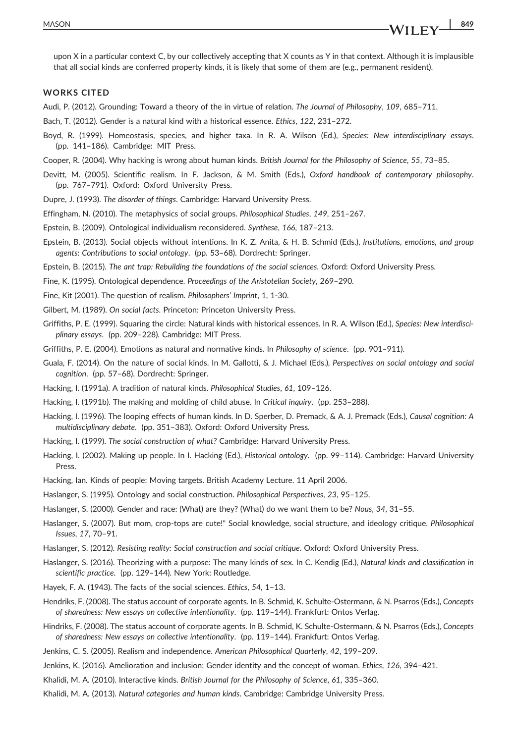upon X in a particular context C, by our collectively accepting that X counts as Y in that context. Although it is implausible that all social kinds are conferred property kinds, it is likely that some of them are (e.g., permanent resident).

#### WORKS CITED

- Audi, P. (2012). Grounding: Toward a theory of the in virtue of relation. The Journal of Philosophy, 109, 685–711.
- Bach, T. (2012). Gender is a natural kind with a historical essence. Ethics, 122, 231–272.
- Boyd, R. (1999). Homeostasis, species, and higher taxa. In R. A. Wilson (Ed.), Species: New interdisciplinary essays. (pp. 141–186). Cambridge: MIT Press.
- Cooper, R. (2004). Why hacking is wrong about human kinds. British Journal for the Philosophy of Science, 55, 73–85.
- Devitt, M. (2005). Scientific realism. In F. Jackson, & M. Smith (Eds.), Oxford handbook of contemporary philosophy. (pp. 767–791). Oxford: Oxford University Press.
- Dupre, J. (1993). The disorder of things. Cambridge: Harvard University Press.
- Effingham, N. (2010). The metaphysics of social groups. Philosophical Studies, 149, 251–267.
- Epstein, B. (2009). Ontological individualism reconsidered. Synthese, 166, 187–213.
- Epstein, B. (2013). Social objects without intentions. In K. Z. Anita, & H. B. Schmid (Eds.), Institutions, emotions, and group agents: Contributions to social ontology. (pp. 53–68). Dordrecht: Springer.
- Epstein, B. (2015). The ant trap: Rebuilding the foundations of the social sciences. Oxford: Oxford University Press.
- Fine, K. (1995). Ontological dependence. Proceedings of the Aristotelian Society, 269–290.
- Fine, Kit (2001). The question of realism. Philosophers' Imprint, 1, 1‐30.
- Gilbert, M. (1989). On social facts. Princeton: Princeton University Press.
- Griffiths, P. E. (1999). Squaring the circle: Natural kinds with historical essences. In R. A. Wilson (Ed.), Species: New interdisciplinary essays. (pp. 209–228). Cambridge: MIT Press.
- Griffiths, P. E. (2004). Emotions as natural and normative kinds. In Philosophy of science. (pp. 901–911).
- Guala, F. (2014). On the nature of social kinds. In M. Gallotti, & J. Michael (Eds.), Perspectives on social ontology and social cognition. (pp. 57–68). Dordrecht: Springer.
- Hacking, I. (1991a). A tradition of natural kinds. Philosophical Studies, 61, 109–126.
- Hacking, I. (1991b). The making and molding of child abuse. In Critical inquiry. (pp. 253–288).
- Hacking, I. (1996). The looping effects of human kinds. In D. Sperber, D. Premack, & A. J. Premack (Eds.), Causal cognition: A multidisciplinary debate. (pp. 351–383). Oxford: Oxford University Press.
- Hacking, I. (1999). The social construction of what? Cambridge: Harvard University Press.
- Hacking, I. (2002). Making up people. In I. Hacking (Ed.), Historical ontology. (pp. 99–114). Cambridge: Harvard University Press.
- Hacking, Ian. Kinds of people: Moving targets. British Academy Lecture. 11 April 2006.
- Haslanger, S. (1995). Ontology and social construction. Philosophical Perspectives, 23, 95–125.
- Haslanger, S. (2000). Gender and race: (What) are they? (What) do we want them to be? Nous, 34, 31–55.
- Haslanger, S. (2007). But mom, crop‐tops are cute!" Social knowledge, social structure, and ideology critique. Philosophical Issues, 17, 70–91.
- Haslanger, S. (2012). Resisting reality: Social construction and social critique. Oxford: Oxford University Press.
- Haslanger, S. (2016). Theorizing with a purpose: The many kinds of sex. In C. Kendig (Ed.), Natural kinds and classification in scientific practice. (pp. 129–144). New York: Routledge.
- Hayek, F. A. (1943). The facts of the social sciences. Ethics, 54, 1–13.
- Hendriks, F. (2008). The status account of corporate agents. In B. Schmid, K. Schulte-Ostermann, & N. Psarros (Eds.), Concepts of sharedness: New essays on collective intentionality. (pp. 119–144). Frankfurt: Ontos Verlag.
- Hindriks, F. (2008). The status account of corporate agents. In B. Schmid, K. Schulte‐Ostermann, & N. Psarros (Eds.), Concepts of sharedness: New essays on collective intentionality. (pp. 119–144). Frankfurt: Ontos Verlag.
- Jenkins, C. S. (2005). Realism and independence. American Philosophical Quarterly, 42, 199–209.
- Jenkins, K. (2016). Amelioration and inclusion: Gender identity and the concept of woman. Ethics, 126, 394–421.
- Khalidi, M. A. (2010). Interactive kinds. British Journal for the Philosophy of Science, 61, 335–360.
- Khalidi, M. A. (2013). Natural categories and human kinds. Cambridge: Cambridge University Press.